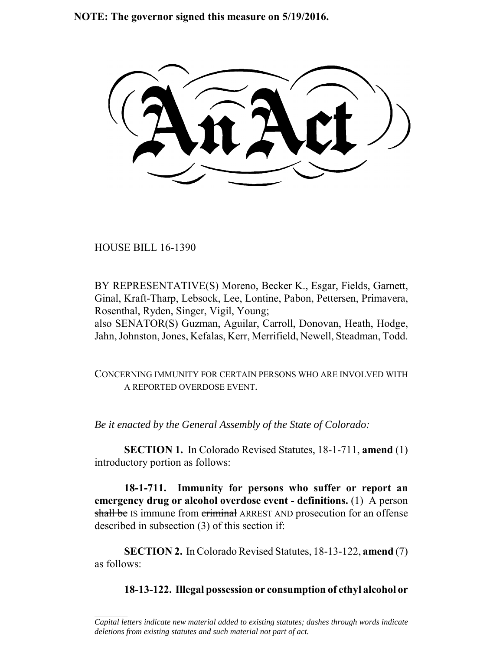**NOTE: The governor signed this measure on 5/19/2016.**

HOUSE BILL 16-1390

 $\frac{1}{2}$ 

BY REPRESENTATIVE(S) Moreno, Becker K., Esgar, Fields, Garnett, Ginal, Kraft-Tharp, Lebsock, Lee, Lontine, Pabon, Pettersen, Primavera, Rosenthal, Ryden, Singer, Vigil, Young;

also SENATOR(S) Guzman, Aguilar, Carroll, Donovan, Heath, Hodge, Jahn, Johnston, Jones, Kefalas, Kerr, Merrifield, Newell, Steadman, Todd.

CONCERNING IMMUNITY FOR CERTAIN PERSONS WHO ARE INVOLVED WITH A REPORTED OVERDOSE EVENT.

*Be it enacted by the General Assembly of the State of Colorado:*

**SECTION 1.** In Colorado Revised Statutes, 18-1-711, **amend** (1) introductory portion as follows:

**18-1-711. Immunity for persons who suffer or report an emergency drug or alcohol overdose event - definitions.** (1) A person shall be IS immune from criminal ARREST AND prosecution for an offense described in subsection (3) of this section if:

**SECTION 2.** In Colorado Revised Statutes, 18-13-122, **amend** (7) as follows:

**18-13-122. Illegal possession or consumption of ethyl alcohol or**

*Capital letters indicate new material added to existing statutes; dashes through words indicate deletions from existing statutes and such material not part of act.*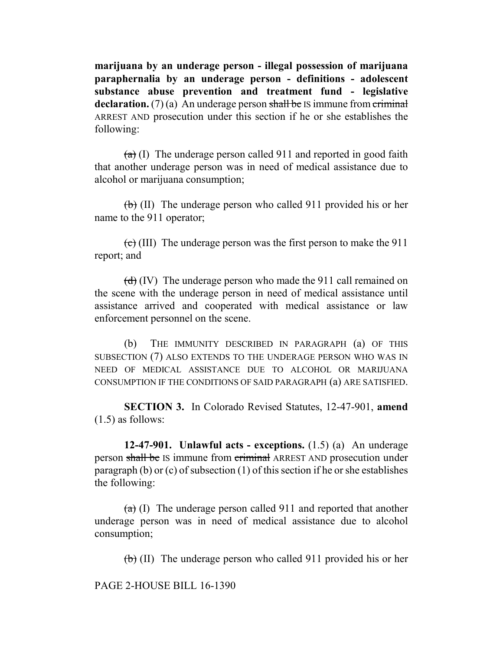**marijuana by an underage person - illegal possession of marijuana paraphernalia by an underage person - definitions - adolescent substance abuse prevention and treatment fund - legislative declaration.** (7) (a) An underage person shall be IS immune from criminal ARREST AND prosecution under this section if he or she establishes the following:

 $(a)$  (I) The underage person called 911 and reported in good faith that another underage person was in need of medical assistance due to alcohol or marijuana consumption;

 $\left(\frac{b}{b}\right)$  (II) The underage person who called 911 provided his or her name to the 911 operator;

 $\left(\frac{1}{\epsilon}\right)$  (III) The underage person was the first person to make the 911 report; and

 $(d)$  (IV) The underage person who made the 911 call remained on the scene with the underage person in need of medical assistance until assistance arrived and cooperated with medical assistance or law enforcement personnel on the scene.

(b) THE IMMUNITY DESCRIBED IN PARAGRAPH (a) OF THIS SUBSECTION (7) ALSO EXTENDS TO THE UNDERAGE PERSON WHO WAS IN NEED OF MEDICAL ASSISTANCE DUE TO ALCOHOL OR MARIJUANA CONSUMPTION IF THE CONDITIONS OF SAID PARAGRAPH (a) ARE SATISFIED.

**SECTION 3.** In Colorado Revised Statutes, 12-47-901, **amend**  $(1.5)$  as follows:

**12-47-901. Unlawful acts - exceptions.** (1.5) (a) An underage person shall be IS immune from criminal ARREST AND prosecution under paragraph (b) or (c) of subsection (1) of this section if he or she establishes the following:

 $(a)$  (I) The underage person called 911 and reported that another underage person was in need of medical assistance due to alcohol consumption;

 $\left(\frac{b}{b}\right)$  (II) The underage person who called 911 provided his or her

PAGE 2-HOUSE BILL 16-1390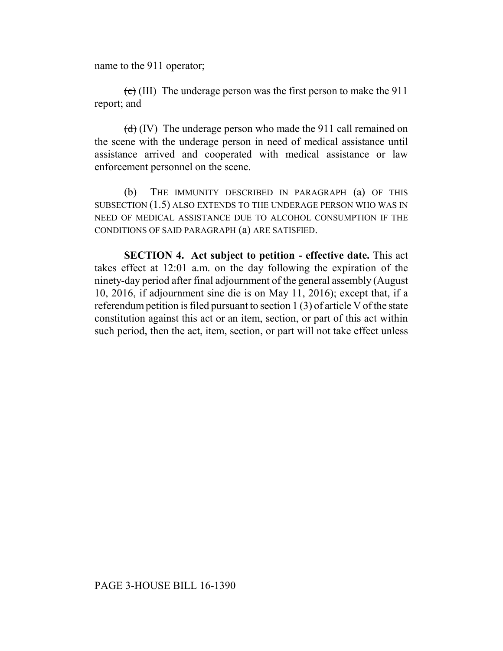name to the 911 operator;

 $\left(\frac{c}{c}\right)$  (III) The underage person was the first person to make the 911 report; and

 $(d)$  (IV) The underage person who made the 911 call remained on the scene with the underage person in need of medical assistance until assistance arrived and cooperated with medical assistance or law enforcement personnel on the scene.

(b) THE IMMUNITY DESCRIBED IN PARAGRAPH (a) OF THIS SUBSECTION (1.5) ALSO EXTENDS TO THE UNDERAGE PERSON WHO WAS IN NEED OF MEDICAL ASSISTANCE DUE TO ALCOHOL CONSUMPTION IF THE CONDITIONS OF SAID PARAGRAPH (a) ARE SATISFIED.

**SECTION 4. Act subject to petition - effective date.** This act takes effect at 12:01 a.m. on the day following the expiration of the ninety-day period after final adjournment of the general assembly (August 10, 2016, if adjournment sine die is on May 11, 2016); except that, if a referendum petition is filed pursuant to section 1 (3) of article V of the state constitution against this act or an item, section, or part of this act within such period, then the act, item, section, or part will not take effect unless